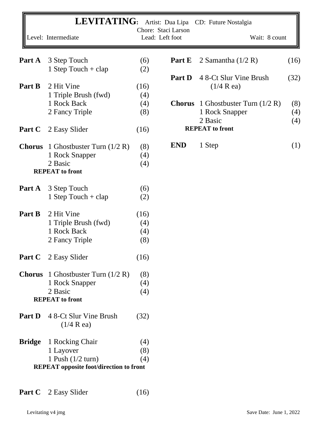| Part A        | Level: Intermediate<br>3 Step Touch<br>1 Step Touch $+$ clap |      | Chore: Staci Larson<br>Lead: Left foot | Wait: 8 count                |      |
|---------------|--------------------------------------------------------------|------|----------------------------------------|------------------------------|------|
|               |                                                              |      |                                        |                              |      |
|               |                                                              | (6)  | Part E                                 | 2 Samantha $(1/2 R)$         | (16) |
|               |                                                              | (2)  |                                        |                              |      |
|               |                                                              |      | <b>Part D</b>                          | 4 8-Ct Slur Vine Brush       | (32) |
| Part B        | 2 Hit Vine                                                   | (16) |                                        | $(1/4 \text{ R} \text{ ea})$ |      |
|               | 1 Triple Brush (fwd)                                         | (4)  |                                        |                              |      |
|               | 1 Rock Back                                                  | (4)  | <b>Chorus</b>                          | 1 Ghostbuster Turn $(1/2 R)$ | (8)  |
|               | 2 Fancy Triple                                               | (8)  |                                        | 1 Rock Snapper               | (4)  |
|               |                                                              |      |                                        | 2 Basic                      | (4)  |
| Part C        | 2 Easy Slider                                                | (16) |                                        | <b>REPEAT</b> to front       |      |
| <b>Chorus</b> | 1 Ghostbuster Turn $(1/2 R)$                                 | (8)  | <b>END</b>                             | 1 Step                       | (1)  |
|               | 1 Rock Snapper                                               | (4)  |                                        |                              |      |
|               | 2 Basic                                                      | (4)  |                                        |                              |      |
|               | <b>REPEAT</b> to front                                       |      |                                        |                              |      |
| Part A        | 3 Step Touch                                                 | (6)  |                                        |                              |      |
|               | 1 Step Touch + $clap$                                        | (2)  |                                        |                              |      |
| Part B        | 2 Hit Vine                                                   | (16) |                                        |                              |      |
|               | 1 Triple Brush (fwd)                                         | (4)  |                                        |                              |      |
|               | 1 Rock Back                                                  | (4)  |                                        |                              |      |
|               | 2 Fancy Triple                                               | (8)  |                                        |                              |      |
|               | <b>Part C</b> 2 Easy Slider                                  | (16) |                                        |                              |      |
|               | <b>Chorus</b> 1 Ghostbuster Turn $(1/2 R)$                   | (8)  |                                        |                              |      |
|               | 1 Rock Snapper                                               | (4)  |                                        |                              |      |
|               | 2 Basic                                                      | (4)  |                                        |                              |      |
|               | <b>REPEAT</b> to front                                       |      |                                        |                              |      |
| <b>Part D</b> | 4 8-Ct Slur Vine Brush<br>$(1/4 \text{ R} \text{ ea})$       | (32) |                                        |                              |      |
| <b>Bridge</b> | 1 Rocking Chair                                              | (4)  |                                        |                              |      |
|               | 1 Layover                                                    | (8)  |                                        |                              |      |
|               | 1 Push $(1/2$ turn)                                          | (4)  |                                        |                              |      |
|               | <b>REPEAT</b> opposite foot/direction to front               |      |                                        |                              |      |

Part C 2 Easy Slider (16)